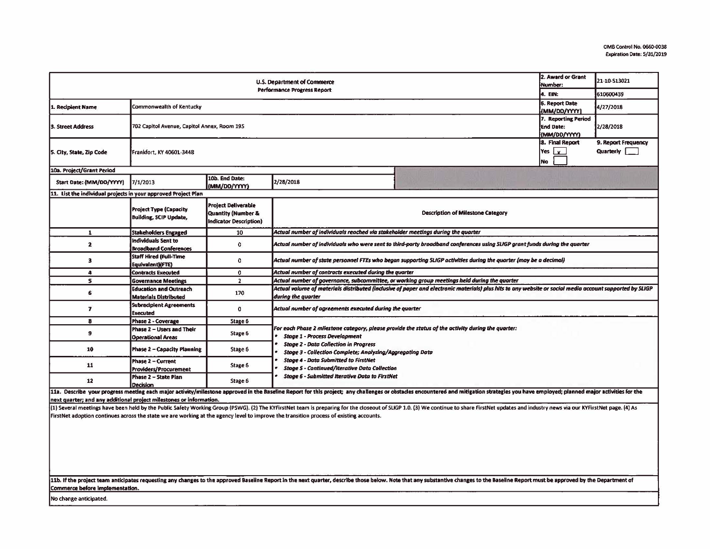| 2. Award or Grant<br>U.S. Department of Commerce<br>Number:<br><b>Performance Progress Report</b><br>4. EIN: |                                                                                        |                                                                                       |                                                                                                                                                                                                                                                         |                                                                                                                                                                                                                                                                                                                                                                                                                                                                  |  | 21-10-S13021<br>610600439        |  |  |  |
|--------------------------------------------------------------------------------------------------------------|----------------------------------------------------------------------------------------|---------------------------------------------------------------------------------------|---------------------------------------------------------------------------------------------------------------------------------------------------------------------------------------------------------------------------------------------------------|------------------------------------------------------------------------------------------------------------------------------------------------------------------------------------------------------------------------------------------------------------------------------------------------------------------------------------------------------------------------------------------------------------------------------------------------------------------|--|----------------------------------|--|--|--|
| 1. Recipient Name                                                                                            | <b>6. Report Date</b><br>Commonwealth of Kentucky<br>(MM/DD/YYYY)                      |                                                                                       |                                                                                                                                                                                                                                                         |                                                                                                                                                                                                                                                                                                                                                                                                                                                                  |  | 4/27/2018                        |  |  |  |
| 3. Street Address                                                                                            | 7. Reporting Period<br>702 Capitol Avenue, Capitol Annex, Room 195<br><b>End Date:</b> |                                                                                       |                                                                                                                                                                                                                                                         |                                                                                                                                                                                                                                                                                                                                                                                                                                                                  |  | 2/28/2018                        |  |  |  |
| 5. City, State, Zip Code                                                                                     | Frankfort, KY 40601-3448                                                               |                                                                                       |                                                                                                                                                                                                                                                         |                                                                                                                                                                                                                                                                                                                                                                                                                                                                  |  | 9. Report Frequency<br>Quarterly |  |  |  |
| 10a. Project/Grant Period                                                                                    |                                                                                        |                                                                                       |                                                                                                                                                                                                                                                         |                                                                                                                                                                                                                                                                                                                                                                                                                                                                  |  |                                  |  |  |  |
| Start Date: (MM/DD/YYYY)                                                                                     | 7/1/2013                                                                               | 10b. End Date:<br>(MM/DD/YYYY)                                                        | 2/28/2018                                                                                                                                                                                                                                               |                                                                                                                                                                                                                                                                                                                                                                                                                                                                  |  |                                  |  |  |  |
| 11. List the individual projects in your approved Project Plan                                               |                                                                                        |                                                                                       |                                                                                                                                                                                                                                                         |                                                                                                                                                                                                                                                                                                                                                                                                                                                                  |  |                                  |  |  |  |
|                                                                                                              | <b>Project Type (Capacity</b><br><b>Building, SCIP Update,</b>                         | Project Deliverable<br><b>Quantity (Number &amp;</b><br><b>Indicator Description)</b> | <b>Description of Milestone Category</b>                                                                                                                                                                                                                |                                                                                                                                                                                                                                                                                                                                                                                                                                                                  |  |                                  |  |  |  |
| $\mathbf{1}$                                                                                                 | <b>Stakeholders Engaged</b>                                                            | 10                                                                                    | Actual number of individuals reached via stakeholder meetings during the quarter                                                                                                                                                                        |                                                                                                                                                                                                                                                                                                                                                                                                                                                                  |  |                                  |  |  |  |
| $\mathbf{2}$                                                                                                 | Individuals Sent to<br><b>Broadband Conferences</b>                                    | $\mathbf 0$                                                                           | Actual number of individuals who were sent to third-party broadband conferences using SLIGP grant funds during the quarter                                                                                                                              |                                                                                                                                                                                                                                                                                                                                                                                                                                                                  |  |                                  |  |  |  |
| з                                                                                                            | <b>Staff Hired (Full-Time</b><br>Equivalent)(FTE)                                      | 0                                                                                     | Actual number of state personnel FTEs who began supporting SLIGP activities during the quorter (may be a decimal)                                                                                                                                       |                                                                                                                                                                                                                                                                                                                                                                                                                                                                  |  |                                  |  |  |  |
| $\ddot{\phantom{a}}$                                                                                         | <b>Contracts Executed</b>                                                              | $\mathbf{0}$                                                                          | Actual number of contracts executed during the quarter                                                                                                                                                                                                  |                                                                                                                                                                                                                                                                                                                                                                                                                                                                  |  |                                  |  |  |  |
| $\mathbf{s}$                                                                                                 | <b>Governance Meetings</b>                                                             | $\overline{2}$                                                                        |                                                                                                                                                                                                                                                         | Actual number of governance, subcommittee, or working group meetings held during the quarter                                                                                                                                                                                                                                                                                                                                                                     |  |                                  |  |  |  |
| 6                                                                                                            | <b>Education and Outreach</b><br><b>Materials Distributed</b>                          | 170                                                                                   | Actual volume of materials distributed (inclusive of paper and electronic materials) plus hits to any website or social media account supported by SLIGP<br>during the quarter                                                                          |                                                                                                                                                                                                                                                                                                                                                                                                                                                                  |  |                                  |  |  |  |
| $\overline{ }$                                                                                               | <b>Subrecipient Agreements</b><br><b>Executed</b>                                      | 0                                                                                     | Actual number of agreements executed during the quarter                                                                                                                                                                                                 |                                                                                                                                                                                                                                                                                                                                                                                                                                                                  |  |                                  |  |  |  |
| 8                                                                                                            | <b>Phase 2 - Coverage</b>                                                              | Stage 6                                                                               | For each Phase 2 milestone category, please provide the status of the activity during the quarter:<br><b>Stage 1 - Process Development</b><br><b>Stage 2 - Data Collection in Progress</b><br>Stage 3 - Collection Complete; Analyzing/Aggregating Data |                                                                                                                                                                                                                                                                                                                                                                                                                                                                  |  |                                  |  |  |  |
| 9                                                                                                            | Phase 2 - Users and Their<br><b>Operational Areas</b>                                  | Stage 6                                                                               |                                                                                                                                                                                                                                                         |                                                                                                                                                                                                                                                                                                                                                                                                                                                                  |  |                                  |  |  |  |
| 10                                                                                                           | <b>Phase 2 - Capacity Planning</b>                                                     | Stage 6                                                                               |                                                                                                                                                                                                                                                         |                                                                                                                                                                                                                                                                                                                                                                                                                                                                  |  |                                  |  |  |  |
| 11                                                                                                           | <b>Phase 2 - Current</b><br>Providers/Procurement                                      | Stage 6                                                                               | <b>Stage 4 - Data Submitted to FirstNet</b><br><b>Stage 5 - Continued/Iterative Data Collection</b>                                                                                                                                                     |                                                                                                                                                                                                                                                                                                                                                                                                                                                                  |  |                                  |  |  |  |
| 12                                                                                                           | Phase 2 - State Plan<br><b>Decision</b>                                                | Stage 6                                                                               | <b>Stage 6 - Submitted Iterative Data to FirstNet</b>                                                                                                                                                                                                   |                                                                                                                                                                                                                                                                                                                                                                                                                                                                  |  |                                  |  |  |  |
| next quarter; and any additional project milestones or information.                                          |                                                                                        |                                                                                       | FirstNet adoption continues across the state we are working at the agency level to improve the transition process of existing accounts.                                                                                                                 | 11a. Describe your progress meeting each major activity/milestone approved in the Baseline Report for this project; any challenges or obstacles encountered and mitigation strategies you have employed; planned major activit<br>(1) Several meetings have been held by the Public Safety Working Group (PSWG). (2) The KYFirstNet team is preparing for the closeout of SLIGP 1.0. (3) We continue to share FirstNet updates and industry news via our KYFirst |  |                                  |  |  |  |
|                                                                                                              |                                                                                        |                                                                                       |                                                                                                                                                                                                                                                         | 11b. If the project team anticipates requesting any changes to the approved Baseline Report in the next quarter, describe those below. Note that any substantive changes to the Baseline Report must be approved by the Depart                                                                                                                                                                                                                                   |  |                                  |  |  |  |

Commerce before implementation.

No change anticipated.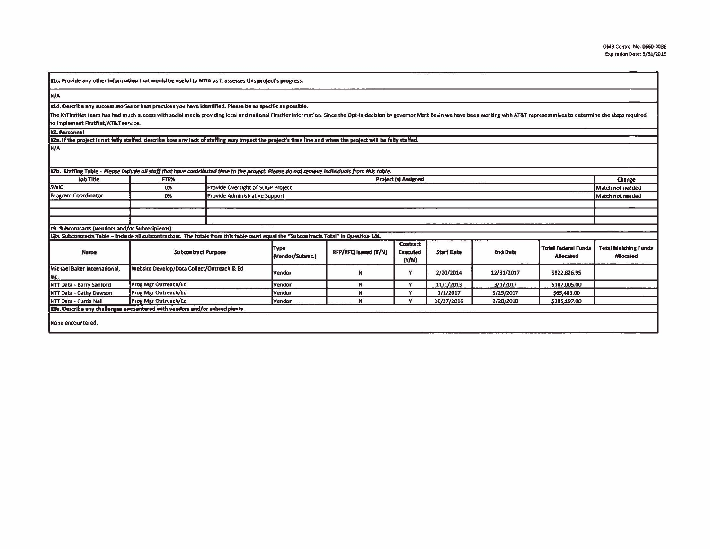| 11c. Provide any other information that would be useful to NTIA as it assesses this project's progress.                                                                                                                        |                                                                                                                                                                     |                                    |                                 |                      |                                             |                   |                 |                                                |                                                 |
|--------------------------------------------------------------------------------------------------------------------------------------------------------------------------------------------------------------------------------|---------------------------------------------------------------------------------------------------------------------------------------------------------------------|------------------------------------|---------------------------------|----------------------|---------------------------------------------|-------------------|-----------------|------------------------------------------------|-------------------------------------------------|
| N/A                                                                                                                                                                                                                            |                                                                                                                                                                     |                                    |                                 |                      |                                             |                   |                 |                                                |                                                 |
| 11d. Describe any success stories or best practices you have identified. Please be as specific as possible.                                                                                                                    |                                                                                                                                                                     |                                    |                                 |                      |                                             |                   |                 |                                                |                                                 |
| The KYFirstNet team has had much success with social media providing local and national FirstNet information. Since the Opt-In decision by governor Matt Bevin we have been working with AT&T representatives to determine the |                                                                                                                                                                     |                                    |                                 |                      |                                             |                   |                 |                                                |                                                 |
| to implement FirstNet/AT&T service.                                                                                                                                                                                            |                                                                                                                                                                     |                                    |                                 |                      |                                             |                   |                 |                                                |                                                 |
| 12. Personnel                                                                                                                                                                                                                  |                                                                                                                                                                     |                                    |                                 |                      |                                             |                   |                 |                                                |                                                 |
| 12a. If the project is not fully staffed, describe how any lack of staffing may impact the project's time line and when the project will be fully staffed.                                                                     |                                                                                                                                                                     |                                    |                                 |                      |                                             |                   |                 |                                                |                                                 |
| N/A<br>12b. Staffing Table - Please include all staff that have contributed time to the project. Please do not remove individuals from this table.                                                                             |                                                                                                                                                                     |                                    |                                 |                      |                                             |                   |                 |                                                |                                                 |
| <b>Job Title</b>                                                                                                                                                                                                               | FTE%                                                                                                                                                                |                                    |                                 |                      | <b>Project (s) Assigned</b>                 |                   |                 |                                                | Change                                          |
| <b>SWIC</b>                                                                                                                                                                                                                    | 0%                                                                                                                                                                  | Provide Oversight of SLIGP Project |                                 |                      |                                             |                   |                 |                                                | Match not needed                                |
| <b>Program Coordinator</b>                                                                                                                                                                                                     | 0%                                                                                                                                                                  | Provide Administrative Support     |                                 |                      |                                             |                   |                 |                                                | Match not needed                                |
|                                                                                                                                                                                                                                |                                                                                                                                                                     |                                    |                                 |                      |                                             |                   |                 |                                                |                                                 |
|                                                                                                                                                                                                                                |                                                                                                                                                                     |                                    |                                 |                      |                                             |                   |                 |                                                |                                                 |
| 13. Subcontracts (Vendors and/or Subrecipients)                                                                                                                                                                                |                                                                                                                                                                     |                                    |                                 |                      |                                             |                   |                 |                                                |                                                 |
| <b>Name</b>                                                                                                                                                                                                                    | 13a. Subcontracts Table - Include all subcontractors. The totals from this table must equal the "Subcontracts Total" in Question 14f.<br><b>Subcontract Purpose</b> |                                    | <b>Type</b><br>(Vendor/Subrec.) | RFP/RFQ Issued (Y/N) | <b>Contract</b><br><b>Executed</b><br>(N/N) | <b>Start Date</b> | <b>End Date</b> | <b>Total Federal Funds</b><br><b>Allocated</b> | <b>Total Matching Funds</b><br><b>Allocated</b> |
| Michael Baker International,<br>Inc.                                                                                                                                                                                           | Website Develop/Data Collect/Outreach & Ed                                                                                                                          |                                    | Vendor                          | N                    | Y                                           | 2/20/2014         | 12/31/2017      | \$822,826.95                                   |                                                 |
| NTT Data - Barry Sanford                                                                                                                                                                                                       | Prog Mgr Outreach/Ed                                                                                                                                                |                                    | Vendor                          | N                    | Y                                           | 11/1/2013         | 3/1/2017        | \$187,005.00                                   |                                                 |
| NTT Data - Cathy Dawson                                                                                                                                                                                                        | Prog Mgr Outreach/Ed                                                                                                                                                |                                    | Vendor                          | N                    | Y                                           | 1/1/2017          | 9/29/2017       | 565,481.00                                     |                                                 |
| <b>NTT Data - Curtis Nail</b>                                                                                                                                                                                                  | <b>Prog Mgr Outreach/Ed</b>                                                                                                                                         |                                    | Vendor                          | N                    | Y                                           | 10/27/2016        | 2/28/2018       | \$106,197.00                                   |                                                 |
| 13b. Describe any challenges encountered with vendors and/or subrecipients.                                                                                                                                                    |                                                                                                                                                                     |                                    |                                 |                      |                                             |                   |                 |                                                |                                                 |
| None encountered.                                                                                                                                                                                                              |                                                                                                                                                                     |                                    |                                 |                      |                                             |                   |                 |                                                |                                                 |